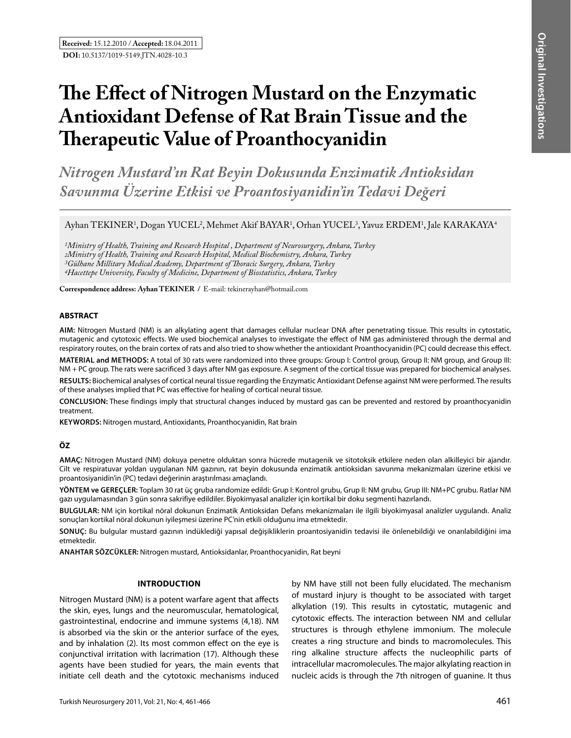# **The Effect of Nitrogen Mustard on the Enzymatic Antioxidant Defense of Rat Brain Tissue and the Therapeutic Value of Proanthocyanidin**

*Nitrogen Mustard'ın Rat Beyin Dokusunda Enzimatik Antioksidan Savunma Üzerine Etkisi ve Proantosiyanidin'in Tedavi Değeri* 

# Ayhan TEKINER<sup>1</sup>, Dogan YUCEL<sup>2</sup>, Mehmet Akif BAYAR<sup>1</sup>, Orhan YUCEL<sup>3</sup>, Yavuz ERDEM<sup>1</sup>, Jale KARAKAYA<sup>4</sup>

*1Ministry of Health, Training and Research Hospital , Department of Neurosurgery, Ankara, Turkey 2Ministry of Health, Training and Research Hospital, Medical Biochemistry, Ankara, Turkey 3Gülhane Millitary Medical Academy, Department of Thoracic Surgery, Ankara, Turkey 4Hacettepe University, Faculty of Medicine, Department of Biostatistics, Ankara, Turkey*

**Correspondence address: Ayhan TekIner /** E-mail: tekinerayhan@hotmail.com

#### **ABSTRACT**

**AIm:** Nitrogen Mustard (NM) is an alkylating agent that damages cellular nuclear DNA after penetrating tissue. This results in cytostatic, mutagenic and cytotoxic effects. We used biochemical analyses to investigate the effect of NM gas administered through the dermal and respiratory routes, on the brain cortex of rats and also tried to show whether the antioxidant Proanthocyanidin (PC) could decrease this effect.

**MaterIal and Methods:** A total of 30 rats were randomized into three groups: Group I: Control group, Group II: NM group, and Group III: NM + PC group. The rats were sacrificed 3 days after NM gas exposure. A segment of the cortical tissue was prepared for biochemical analyses.

**Results:** Biochemical analyses of cortical neural tissue regarding the Enzymatic Antioxidant Defense against NM were performed. The results of these analyses implied that PC was effective for healing of cortical neural tissue.

**ConclusIon:** These findings imply that structural changes induced by mustard gas can be prevented and restored by proanthocyanidin treatment.

**Keywords:** Nitrogen mustard, Antioxidants, Proanthocyanidin, Rat brain

## **ÖZ**

**AMAÇ:** Nitrogen Mustard (NM) dokuya penetre olduktan sonra hücrede mutagenik ve sitotoksik etkilere neden olan alkilleyici bir ajandır. Cilt ve respiratuvar yoldan uygulanan NM gazının, rat beyin dokusunda enzimatik antioksidan savunma mekanizmaları üzerine etkisi ve proantosiyanidin'in (PC) tedavi değerinin araştırılması amaçlandı.

**YÖNTEM ve GEREÇLER:** Toplam 30 rat üç gruba randomize edildi: Grup I: Kontrol grubu, Grup II: NM grubu, Grup III: NM+PC grubu. Ratlar NM gazı uygulamasından 3 gün sonra sakrifiye edildiler. Biyokimyasal analizler için kortikal bir doku segmenti hazırlandı.

**BULGULAR:** NM için kortikal nöral dokunun Enzimatik Antioksidan Defans mekanizmaları ile ilgili biyokimyasal analizler uygulandı. Analiz sonuçları kortikal nöral dokunun iyileşmesi üzerine PC'nin etkili olduğunu ima etmektedir.

**SONUÇ:** Bu bulgular mustard gazının indüklediği yapısal değişikliklerin proantosiyanidin tedavisi ile önlenebildiği ve onarılabildiğini ima etmektedir.

**ANAHTAR SÖZCÜKLER:** Nitrogen mustard, Antioksidanlar, Proanthocyanidin, Rat beyni

#### **INTRODUCTION**

Nitrogen Mustard (NM) is a potent warfare agent that affects the skin, eyes, lungs and the neuromuscular, hematological, gastrointestinal, endocrine and immune systems (4,18). NM is absorbed via the skin or the anterior surface of the eyes, and by inhalation (2). Its most common effect on the eye is conjunctival irritation with lacrimation (17). Although these agents have been studied for years, the main events that initiate cell death and the cytotoxic mechanisms induced by NM have still not been fully elucidated. The mechanism of mustard injury is thought to be associated with target alkylation (19). This results in cytostatic, mutagenic and cytotoxic effects. The interaction between NM and cellular structures is through ethylene immonium. The molecule creates a ring structure and binds to macromolecules. This ring alkaline structure affects the nucleophilic parts of intracellular macromolecules. The major alkylating reaction in nucleic acids is through the 7th nitrogen of guanine. It thus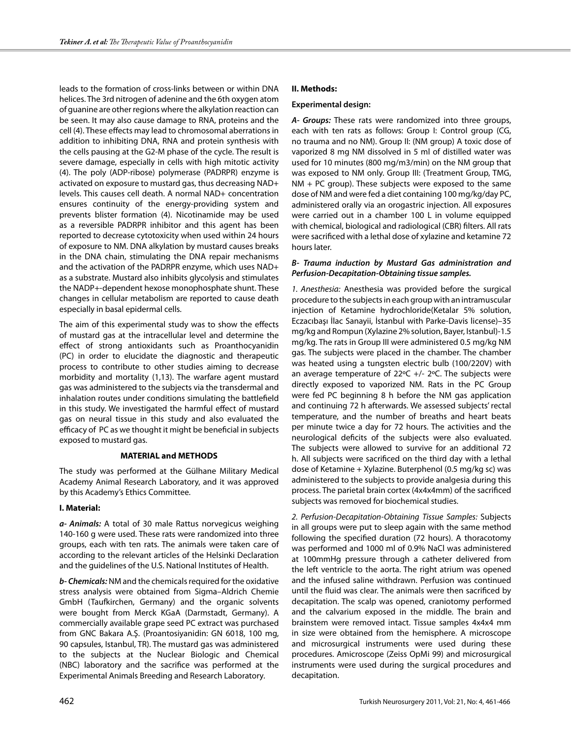leads to the formation of cross-links between or within DNA helices. The 3rd nitrogen of adenine and the 6th oxygen atom of guanine are other regions where the alkylation reaction can be seen. It may also cause damage to RNA, proteins and the cell (4). These effects may lead to chromosomal aberrations in addition to inhibiting DNA, RNA and protein synthesis with the cells pausing at the G2-M phase of the cycle. The result is severe damage, especially in cells with high mitotic activity (4). The poly (ADP-ribose) polymerase (PADRPR) enzyme is activated on exposure to mustard gas, thus decreasing NAD+ levels. This causes cell death. A normal NAD+ concentration ensures continuity of the energy-providing system and prevents blister formation (4). Nicotinamide may be used as a reversible PADRPR inhibitor and this agent has been reported to decrease cytotoxicity when used within 24 hours of exposure to NM. DNA alkylation by mustard causes breaks in the DNA chain, stimulating the DNA repair mechanisms and the activation of the PADRPR enzyme, which uses NAD+ as a substrate. Mustard also inhibits glycolysis and stimulates the NADP+-dependent hexose monophosphate shunt. These changes in cellular metabolism are reported to cause death especially in basal epidermal cells.

The aim of this experimental study was to show the effects of mustard gas at the intracellular level and determine the effect of strong antioxidants such as Proanthocyanidin (PC) in order to elucidate the diagnostic and therapeutic process to contribute to other studies aiming to decrease morbidity and mortality (1,13). The warfare agent mustard gas was administered to the subjects via the transdermal and inhalation routes under conditions simulating the battlefield in this study. We investigated the harmful effect of mustard gas on neural tissue in this study and also evaluated the efficacy of PC as we thought it might be beneficial in subjects exposed to mustard gas.

#### **MATERIAL and METHODS**

The study was performed at the Gülhane Military Medical Academy Animal Research Laboratory, and it was approved by this Academy's Ethics Committee.

#### **I. Material:**

*a- Animals:* A total of 30 male Rattus norvegicus weighing 140-160 g were used. These rats were randomized into three groups, each with ten rats. The animals were taken care of according to the relevant articles of the Helsinki Declaration and the guidelines of the U.S. National Institutes of Health.

*b- Chemicals:* NM and the chemicals required for the oxidative stress analysis were obtained from Sigma–Aldrich Chemie GmbH (Taufkirchen, Germany) and the organic solvents were bought from Merck KGaA (Darmstadt, Germany). A commercially available grape seed PC extract was purchased from GNC Bakara A.Ş. (Proantosiyanidin: GN 6018, 100 mg, 90 capsules, Istanbul, TR). The mustard gas was administered to the subjects at the Nuclear Biologic and Chemical (NBC) laboratory and the sacrifice was performed at the Experimental Animals Breeding and Research Laboratory.

# **II. Methods:**

#### **Experimental design:**

*A- Groups:* These rats were randomized into three groups, each with ten rats as follows: Group I: Control group (CG, no trauma and no NM). Group II: (NM group) A toxic dose of vaporized 8 mg NM dissolved in 5 ml of distilled water was used for 10 minutes (800 mg/m3/min) on the NM group that was exposed to NM only. Group III: (Treatment Group, TMG,  $NM + PC$  group). These subjects were exposed to the same dose of NM and were fed a diet containing 100 mg/kg/day PC, administered orally via an orogastric injection. All exposures were carried out in a chamber 100 L in volume equipped with chemical, biological and radiological (CBR) filters. All rats were sacrificed with a lethal dose of xylazine and ketamine 72 hours later.

### *B- Trauma induction by Mustard Gas administration and Perfusion-Decapitation-Obtaining tissue samples.*

*1. Anesthesia:* Anesthesia was provided before the surgical procedure to the subjects in each group with an intramuscular injection of Ketamine hydrochloride(Ketalar 5% solution, Eczacıbaşı İlac Sanayii, İstanbul with Parke-Davis license)–35 mg/kg and Rompun (Xylazine 2% solution, Bayer, Istanbul)-1.5 mg/kg. The rats in Group III were administered 0.5 mg/kg NM gas. The subjects were placed in the chamber. The chamber was heated using a tungsten electric bulb (100/220V) with an average temperature of 22ºC +/- 2ºC. The subjects were directly exposed to vaporized NM. Rats in the PC Group were fed PC beginning 8 h before the NM gas application and continuing 72 h afterwards. We assessed subjects' rectal temperature, and the number of breaths and heart beats per minute twice a day for 72 hours. The activities and the neurological deficits of the subjects were also evaluated. The subjects were allowed to survive for an additional 72 h. All subjects were sacrificed on the third day with a lethal dose of Ketamine + Xylazine. Buterphenol (0.5 mg/kg sc) was administered to the subjects to provide analgesia during this process. The parietal brain cortex (4x4x4mm) of the sacrificed subjects was removed for biochemical studies.

*2. Perfusion-Decapitation-Obtaining Tissue Samples:* Subjects in all groups were put to sleep again with the same method following the specified duration (72 hours). A thoracotomy was performed and 1000 ml of 0.9% NaCl was administered at 100mmHg pressure through a catheter delivered from the left ventricle to the aorta. The right atrium was opened and the infused saline withdrawn. Perfusion was continued until the fluid was clear. The animals were then sacrificed by decapitation. The scalp was opened, craniotomy performed and the calvarium exposed in the middle. The brain and brainstem were removed intact. Tissue samples 4x4x4 mm in size were obtained from the hemisphere. A microscope and microsurgical instruments were used during these procedures. Amicroscope (Zeiss OpMi 99) and microsurgical instruments were used during the surgical procedures and decapitation.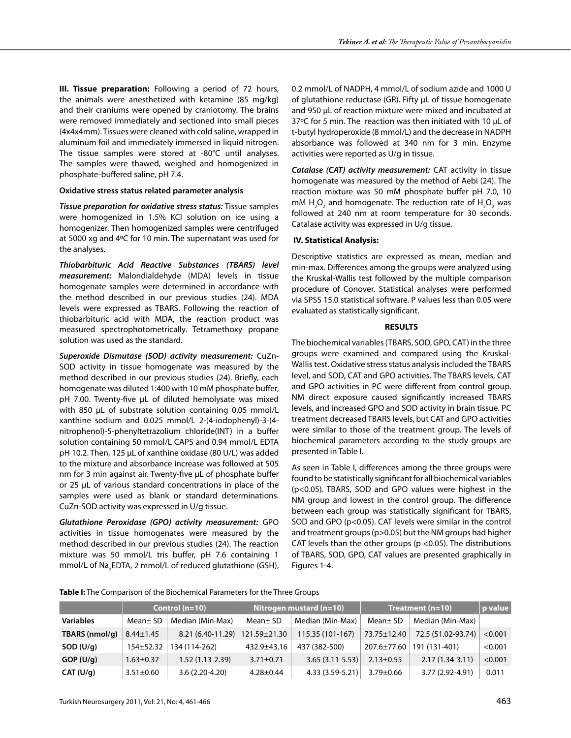**III. Tissue preparation:** Following a period of 72 hours, the animals were anesthetized with ketamine (85 mg/kg) and their craniums were opened by craniotomy. The brains were removed immediately and sectioned into small pieces (4x4x4mm). Tissues were cleaned with cold saline, wrapped in aluminum foil and immediately immersed in liquid nitrogen. The tissue samples were stored at -80°C until analyses. The samples were thawed, weighed and homogenized in phosphate-buffered saline, pH 7.4.

# **Oxidative stress status related parameter analysis**

*Tissue preparation for oxidative stress status:* Tissue samples were homogenized in 1.5% KCl solution on ice using a homogenizer. Then homogenized samples were centrifuged at 5000 xg and 4ºC for 10 min. The supernatant was used for the analyses.

*Thiobarbituric Acid Reactive Substances (TBARS) level measurement:* Malondialdehyde (MDA) levels in tissue homogenate samples were determined in accordance with the method described in our previous studies (24). MDA levels were expressed as TBARS. Following the reaction of thiobarbituric acid with MDA, the reaction product was measured spectrophotometrically. Tetramethoxy propane solution was used as the standard.

*Superoxide Dismutase (SOD) activity measurement:* CuZn-SOD activity in tissue homogenate was measured by the method described in our previous studies (24). Briefly, each homogenate was diluted 1:400 with 10 mM phosphate buffer, pH 7.00. Twenty-five µL of diluted hemolysate was mixed with 850 µL of substrate solution containing 0.05 mmol/L xanthine sodium and 0.025 mmol/L 2-(4-iodophenyl)-3-(4 nitrophenol)-5-phenyltetrazolium chloride(INT) in a buffer solution containing 50 mmol/L CAPS and 0.94 mmol/L EDTA pH 10.2. Then, 125 µL of xanthine oxidase (80 U/L) was added to the mixture and absorbance increase was followed at 505 nm for 3 min against air. Twenty-five µL of phosphate buffer or 25 µL of various standard concentrations in place of the samples were used as blank or standard determinations. CuZn-SOD activity was expressed in U/g tissue.

*Glutathione Peroxidase (GPO) activity measurement:* GPO activities in tissue homogenates were measured by the method described in our previous studies (24). The reaction mixture was 50 mmol/L tris buffer, pH 7.6 containing 1 mmol/L of Na<sub>2</sub>EDTA, 2 mmol/L of reduced glutathione (GSH), 0.2 mmol/L of NADPH, 4 mmol/L of sodium azide and 1000 U of glutathione reductase (GR). Fifty μL of tissue homogenate and 950 μL of reaction mixture were mixed and incubated at 37ºC for 5 min. The reaction was then initiated with 10 μL of t-butyl hydroperoxide (8 mmol/L) and the decrease in NADPH absorbance was followed at 340 nm for 3 min. Enzyme activities were reported as U/g in tissue.

*Catalase (CAT) activity measurement:* CAT activity in tissue homogenate was measured by the method of Aebi (24). The reaction mixture was 50 mM phosphate buffer pH 7.0, 10 mM  $H_2O_2$  and homogenate. The reduction rate of  $H_2O_2$  was followed at 240 nm at room temperature for 30 seconds. Catalase activity was expressed in U/g tissue.

# **IV. Statistical Analysis:**

Descriptive statistics are expressed as mean, median and min-max. Differences among the groups were analyzed using the Kruskal-Wallis test followed by the multiple comparison procedure of Conover. Statistical analyses were performed via SPSS 15.0 statistical software. P values less than 0.05 were evaluated as statistically significant.

#### **RESULTS**

The biochemical variables (TBARS, SOD, GPO, CAT) in the three groups were examined and compared using the Kruskal-Wallis test. Oxidative stress status analysis included the TBARS level, and SOD, CAT and GPO activities. The TBARS levels, CAT and GPO activities in PC were different from control group. NM direct exposure caused significantly increased TBARS levels, and increased GPO and SOD activity in brain tissue. PC treatment decreased TBARS levels, but CAT and GPO activities were similar to those of the treatment group. The levels of biochemical parameters according to the study groups are presented in Table I.

As seen in Table I, differences among the three groups were found to be statistically significant for all biochemical variables (p<0.05). TBARS, SOD and GPO values were highest in the NM group and lowest in the control group. The difference between each group was statistically significant for TBARS, SOD and GPO (p<0.05). CAT levels were similar in the control and treatment groups (p>0.05) but the NM groups had higher CAT levels than the other groups ( $p$  <0.05). The distributions of TBARS, SOD, GPO, CAT values are presented graphically in Figures 1-4.

**Table I:** The Comparison of the Biochemical Parameters for the Three Groups

|                  | Control $(n=10)$ |                     | Nitrogen mustard $(n=10)$ |                     | <b>Treatment (n=10)</b> |                    | p value |
|------------------|------------------|---------------------|---------------------------|---------------------|-------------------------|--------------------|---------|
| <b>Variables</b> | Mean± SD         | Median (Min-Max)    | Mean $\pm$ SD             | Median (Min-Max)    | Mean± SD                | Median (Min-Max)   |         |
| TBARS (nmol/g)   | $8.44 \pm 1.45$  | $8.21(6.40-11.29)$  | 121.59±21.30              | 115.35 (101-167)    | 73.75±12.40             | 72.5 (51.02-93.74) | < 0.001 |
| SOD (U/q)        | $154 + 52.32$    | 134 (114-262)       | 432.9±43.16               | 437 (382-500)       | 207.6±77.60             | 191 (131-401)      | < 0.001 |
| GOP (U/q)        | $1.63 \pm 0.37$  | $1.52(1.13 - 2.39)$ | $3.71 \pm 0.71$           | $3.65(3.11 - 5.53)$ | $2.13 \pm 0.55$         | $2.17(1.34-3.11)$  | < 0.001 |
| CAT (U/q)        | $3.51 \pm 0.60$  | $3.6(2.20-4.20)$    | $4.28 \pm 0.44$           | 4.33 (3.59-5.21)    | $3.79 \pm 0.66$         | 3.77 (2.92-4.91)   | 0.011   |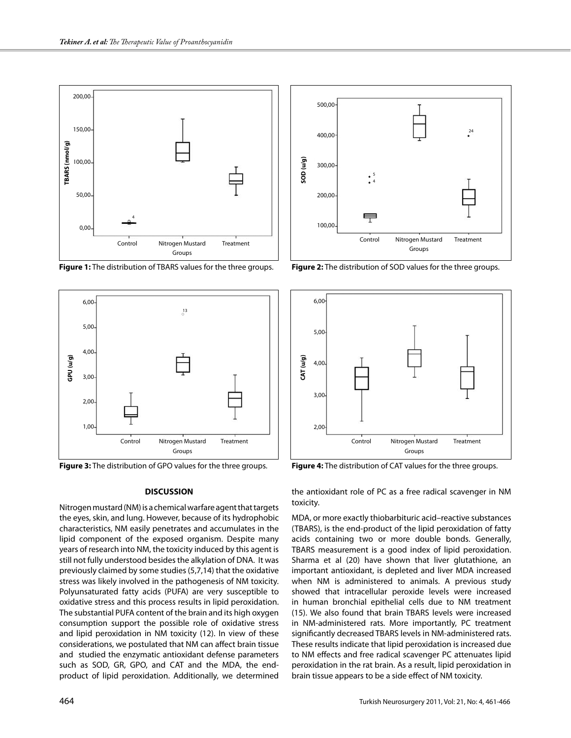

**Figure 1:** The distribution of TBARS values for the three groups. **Figure 2:** The distribution of SOD values for the three groups.



**Figure 3:** The distribution of GPO values for the three groups. **Figure 4:** The distribution of CAT values for the three groups.

#### **DISCUSSION**

Nitrogen mustard (NM) is a chemical warfare agent that targets the eyes, skin, and lung. However, because of its hydrophobic characteristics, NM easily penetrates and accumulates in the lipid component of the exposed organism. Despite many years of research into NM, the toxicity induced by this agent is still not fully understood besides the alkylation of DNA. It was previously claimed by some studies (5,7,14) that the oxidative stress was likely involved in the pathogenesis of NM toxicity. Polyunsaturated fatty acids (PUFA) are very susceptible to oxidative stress and this process results in lipid peroxidation. The substantial PUFA content of the brain and its high oxygen consumption support the possible role of oxidative stress and lipid peroxidation in NM toxicity (12). In view of these considerations, we postulated that NM can affect brain tissue and studied the enzymatic antioxidant defense parameters such as SOD, GR, GPO, and CAT and the MDA, the endproduct of lipid peroxidation. Additionally, we determined





the antioxidant role of PC as a free radical scavenger in NM toxicity.

MDA, or more exactly thiobarbituric acid–reactive substances (TBARS), is the end-product of the lipid peroxidation of fatty acids containing two or more double bonds. Generally, TBARS measurement is a good index of lipid peroxidation. Sharma et al (20) have shown that liver glutathione, an important antioxidant, is depleted and liver MDA increased when NM is administered to animals. A previous study showed that intracellular peroxide levels were increased in human bronchial epithelial cells due to NM treatment (15). We also found that brain TBARS levels were increased in NM-administered rats. More importantly, PC treatment significantly decreased TBARS levels in NM-administered rats. These results indicate that lipid peroxidation is increased due to NM effects and free radical scavenger PC attenuates lipid peroxidation in the rat brain. As a result, lipid peroxidation in brain tissue appears to be a side effect of NM toxicity.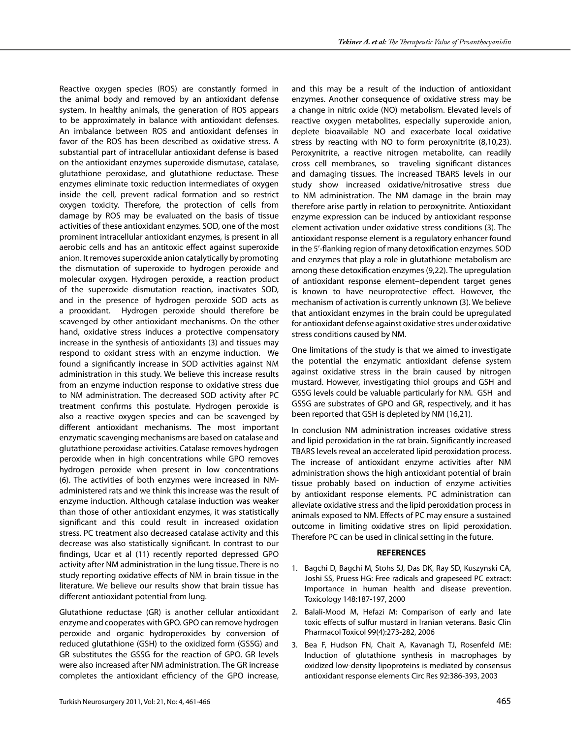Reactive oxygen species (ROS) are constantly formed in the animal body and removed by an antioxidant defense system. In healthy animals, the generation of ROS appears to be approximately in balance with antioxidant defenses. An imbalance between ROS and antioxidant defenses in favor of the ROS has been described as oxidative stress. A substantial part of intracellular antioxidant defense is based on the antioxidant enzymes superoxide dismutase, catalase, glutathione peroxidase, and glutathione reductase. These enzymes eliminate toxic reduction intermediates of oxygen inside the cell, prevent radical formation and so restrict oxygen toxicity. Therefore, the protection of cells from damage by ROS may be evaluated on the basis of tissue activities of these antioxidant enzymes. SOD, one of the most prominent intracellular antioxidant enzymes, is present in all aerobic cells and has an antitoxic effect against superoxide anion. It removes superoxide anion catalytically by promoting the dismutation of superoxide to hydrogen peroxide and molecular oxygen. Hydrogen peroxide, a reaction product of the superoxide dismutation reaction, inactivates SOD, and in the presence of hydrogen peroxide SOD acts as a prooxidant. Hydrogen peroxide should therefore be scavenged by other antioxidant mechanisms. On the other hand, oxidative stress induces a protective compensatory increase in the synthesis of antioxidants (3) and tissues may respond to oxidant stress with an enzyme induction. We found a significantly increase in SOD activities against NM administration in this study. We believe this increase results from an enzyme induction response to oxidative stress due to NM administration. The decreased SOD activity after PC treatment confirms this postulate. Hydrogen peroxide is also a reactive oxygen species and can be scavenged by different antioxidant mechanisms. The most important enzymatic scavenging mechanisms are based on catalase and glutathione peroxidase activities. Catalase removes hydrogen peroxide when in high concentrations while GPO removes hydrogen peroxide when present in low concentrations (6). The activities of both enzymes were increased in NMadministered rats and we think this increase was the result of enzyme induction. Although catalase induction was weaker than those of other antioxidant enzymes, it was statistically significant and this could result in increased oxidation stress. PC treatment also decreased catalase activity and this decrease was also statistically significant. In contrast to our findings, Ucar et al (11) recently reported depressed GPO activity after NM administration in the lung tissue. There is no study reporting oxidative effects of NM in brain tissue in the literature. We believe our results show that brain tissue has different antioxidant potential from lung.

Glutathione reductase (GR) is another cellular antioxidant enzyme and cooperates with GPO. GPO can remove hydrogen peroxide and organic hydroperoxides by conversion of reduced glutathione (GSH) to the oxidized form (GSSG) and GR substitutes the GSSG for the reaction of GPO. GR levels were also increased after NM administration. The GR increase completes the antioxidant efficiency of the GPO increase,

and this may be a result of the induction of antioxidant enzymes. Another consequence of oxidative stress may be a change in nitric oxide (NO) metabolism. Elevated levels of reactive oxygen metabolites, especially superoxide anion, deplete bioavailable NO and exacerbate local oxidative stress by reacting with NO to form peroxynitrite (8,10,23). Peroxynitrite, a reactive nitrogen metabolite, can readily cross cell membranes, so traveling significant distances and damaging tissues. The increased TBARS levels in our study show increased oxidative/nitrosative stress due to NM administration. The NM damage in the brain may therefore arise partly in relation to peroxynitrite. Antioxidant enzyme expression can be induced by antioxidant response element activation under oxidative stress conditions (3). The antioxidant response element is a regulatory enhancer found in the 5'-flanking region of many detoxification enzymes. SOD and enzymes that play a role in glutathione metabolism are among these detoxification enzymes (9,22). The upregulation of antioxidant response element–dependent target genes is known to have neuroprotective effect. However, the mechanism of activation is currently unknown (3). We believe that antioxidant enzymes in the brain could be upregulated for antioxidant defense against oxidative stres under oxidative stress conditions caused by NM.

One limitations of the study is that we aimed to investigate the potential the enzymatic antioxidant defense system against oxidative stress in the brain caused by nitrogen mustard. However, investigating thiol groups and GSH and GSSG levels could be valuable particularly for NM. GSH and GSSG are substrates of GPO and GR, respectively, and it has been reported that GSH is depleted by NM (16,21).

In conclusion NM administration increases oxidative stress and lipid peroxidation in the rat brain. Significantly increased TBARS levels reveal an accelerated lipid peroxidation process. The increase of antioxidant enzyme activities after NM administration shows the high antioxidant potential of brain tissue probably based on induction of enzyme activities by antioxidant response elements. PC administration can alleviate oxidative stress and the lipid peroxidation process in animals exposed to NM. Effects of PC may ensure a sustained outcome in limiting oxidative stres on lipid peroxidation. Therefore PC can be used in clinical setting in the future.

#### **REFERENCES**

- 1. Bagchi D, Bagchi M, Stohs SJ, Das DK, Ray SD, Kuszynski CA, Joshi SS, Pruess HG: Free radicals and grapeseed PC extract: Importance in human health and disease prevention. Toxicology 148:187-197, 2000
- 2. Balali-Mood M, Hefazi M: Comparison of early and late toxic effects of sulfur mustard in Iranian veterans. Basic Clin Pharmacol Toxicol 99(4):273-282, 2006
- 3. Bea F, Hudson FN, Chait A, Kavanagh TJ, Rosenfeld ME: Induction of glutathione synthesis in macrophages by oxidized low-density lipoproteins is mediated by consensus antioxidant response elements Circ Res 92:386-393, 2003